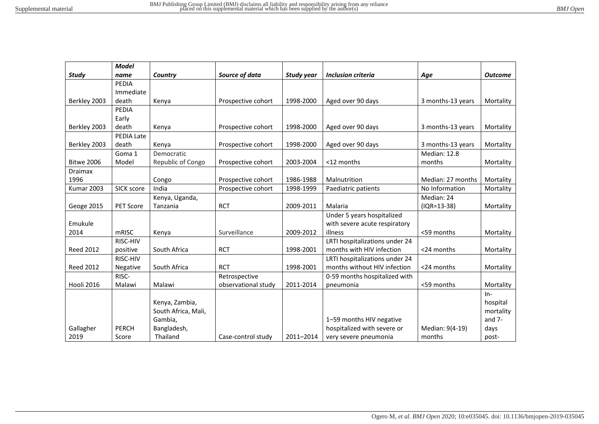|--|--|

|                   | <b>Model</b>      |                     |                     |                   |                                |                   |                |
|-------------------|-------------------|---------------------|---------------------|-------------------|--------------------------------|-------------------|----------------|
| <b>Study</b>      | name              | Country             | Source of data      | <b>Study year</b> | <b>Inclusion criteria</b>      | Age               | <b>Outcome</b> |
|                   | PEDIA             |                     |                     |                   |                                |                   |                |
|                   | Immediate         |                     |                     |                   |                                |                   |                |
| Berkley 2003      | death             | Kenya               | Prospective cohort  | 1998-2000         | Aged over 90 days              | 3 months-13 years | Mortality      |
|                   | PEDIA             |                     |                     |                   |                                |                   |                |
|                   | Early             |                     |                     |                   |                                |                   |                |
| Berkley 2003      | death             | Kenya               | Prospective cohort  | 1998-2000         | Aged over 90 days              | 3 months-13 years | Mortality      |
|                   | <b>PEDIA Late</b> |                     |                     |                   |                                |                   |                |
| Berkley 2003      | death             | Kenya               | Prospective cohort  | 1998-2000         | Aged over 90 days              | 3 months-13 years | Mortality      |
|                   | Goma 1            | Democratic          |                     |                   |                                | Median: 12.8      |                |
| <b>Bitwe 2006</b> | Model             | Republic of Congo   | Prospective cohort  | 2003-2004         | <12 months                     | months            | Mortality      |
| <b>Draimax</b>    |                   |                     |                     |                   |                                |                   |                |
| 1996              |                   | Congo               | Prospective cohort  | 1986-1988         | Malnutrition                   | Median: 27 months | Mortality      |
| Kumar 2003        | SICK score        | India               | Prospective cohort  | 1998-1999         | Paediatric patients            | No Information    | Mortality      |
|                   |                   | Kenya, Uganda,      |                     |                   |                                | Median: 24        |                |
| Geoge 2015        | PET Score         | Tanzania            | <b>RCT</b>          | 2009-2011         | Malaria                        | $(IQR=13-38)$     | Mortality      |
|                   |                   |                     |                     |                   | Under 5 years hospitalized     |                   |                |
| Emukule           |                   |                     |                     |                   | with severe acute respiratory  |                   |                |
| 2014              | mRISC             | Kenya               | Surveillance        | 2009-2012         | illness                        | <59 months        | Mortality      |
|                   | RISC-HIV          |                     |                     |                   | LRTI hospitalizations under 24 |                   |                |
| <b>Reed 2012</b>  | positive          | South Africa        | <b>RCT</b>          | 1998-2001         | months with HIV infection      | <24 months        | Mortality      |
|                   | RISC-HIV          |                     |                     |                   | LRTI hospitalizations under 24 |                   |                |
| <b>Reed 2012</b>  | Negative          | South Africa        | <b>RCT</b>          | 1998-2001         | months without HIV infection   | <24 months        | Mortality      |
|                   | RISC-             |                     | Retrospective       |                   | 0-59 months hospitalized with  |                   |                |
| Hooli 2016        | Malawi            | Malawi              | observational study | 2011-2014         | pneumonia                      | <59 months        | Mortality      |
|                   |                   |                     |                     |                   |                                |                   | $In-$          |
|                   |                   | Kenya, Zambia,      |                     |                   |                                |                   | hospital       |
|                   |                   | South Africa, Mali, |                     |                   |                                |                   | mortality      |
|                   |                   | Gambia,             |                     |                   | 1-59 months HIV negative       |                   | and $7-$       |
| Gallagher         | <b>PERCH</b>      | Bangladesh,         |                     |                   | hospitalized with severe or    | Median: 9(4-19)   | days           |
| 2019              | Score             | Thailand            | Case-control study  | 2011-2014         | very severe pneumonia          | months            | post-          |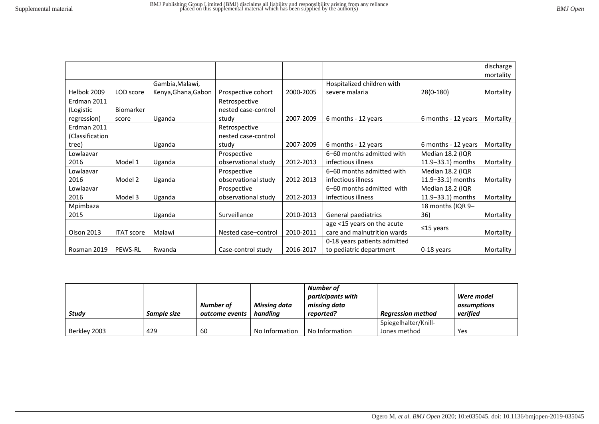|                 |                   |                     |                     |           |                              |                     | discharge |
|-----------------|-------------------|---------------------|---------------------|-----------|------------------------------|---------------------|-----------|
|                 |                   |                     |                     |           |                              |                     | mortality |
|                 |                   | Gambia, Malawi,     |                     |           | Hospitalized children with   |                     |           |
| Helbok 2009     | LOD score         | Kenya, Ghana, Gabon | Prospective cohort  | 2000-2005 | severe malaria               | 28(0-180)           | Mortality |
| Erdman 2011     |                   |                     | Retrospective       |           |                              |                     |           |
| (Logistic       | <b>Biomarker</b>  |                     | nested case-control |           |                              |                     |           |
| regression)     | score             | Uganda              | study               | 2007-2009 | 6 months - 12 years          | 6 months - 12 years | Mortality |
| Erdman 2011     |                   |                     | Retrospective       |           |                              |                     |           |
| (Classification |                   |                     | nested case-control |           |                              |                     |           |
| tree)           |                   | Uganda              | study               | 2007-2009 | 6 months - 12 years          | 6 months - 12 years | Mortality |
| Lowlaavar       |                   |                     | Prospective         |           | 6-60 months admitted with    | Median 18.2 (IQR    |           |
| 2016            | Model 1           | Uganda              | observational study | 2012-2013 | infectious illness           | 11.9-33.1) months   | Mortality |
| Lowlaavar       |                   |                     | Prospective         |           | 6-60 months admitted with    | Median 18.2 (IQR    |           |
| 2016            | Model 2           | Uganda              | observational study | 2012-2013 | infectious illness           | 11.9-33.1) months   | Mortality |
| Lowlaavar       |                   |                     | Prospective         |           | 6-60 months admitted with    | Median 18.2 (IQR    |           |
| 2016            | Model 3           | Uganda              | observational study | 2012-2013 | infectious illness           | 11.9-33.1) months   | Mortality |
| Mpimbaza        |                   |                     |                     |           |                              | 18 months (IQR 9-   |           |
| 2015            |                   | Uganda              | Surveillance        | 2010-2013 | General paediatrics          | 36)                 | Mortality |
|                 |                   |                     |                     |           | age <15 years on the acute   |                     |           |
| Olson 2013      | <b>ITAT score</b> | Malawi              | Nested case-control | 2010-2011 | care and malnutrition wards  | $≤15$ years         | Mortality |
|                 |                   |                     |                     |           | 0-18 years patients admitted |                     |           |
| Rosman 2019     | <b>PEWS-RL</b>    | Rwanda              | Case-control study  | 2016-2017 | to pediatric department      | 0-18 years          | Mortality |

| Studv        | Sample size | Number of<br>outcome events | Missing data<br>handlina | Number of<br>participants with<br>missing data<br>reported? | <b>Regression method</b> | Were model<br>assumptions<br>verified |
|--------------|-------------|-----------------------------|--------------------------|-------------------------------------------------------------|--------------------------|---------------------------------------|
|              |             |                             |                          |                                                             | Spiegelhalter/Knill-     |                                       |
| Berkley 2003 | 429         | 60                          | No Information           | No Information                                              | Jones method             | Yes                                   |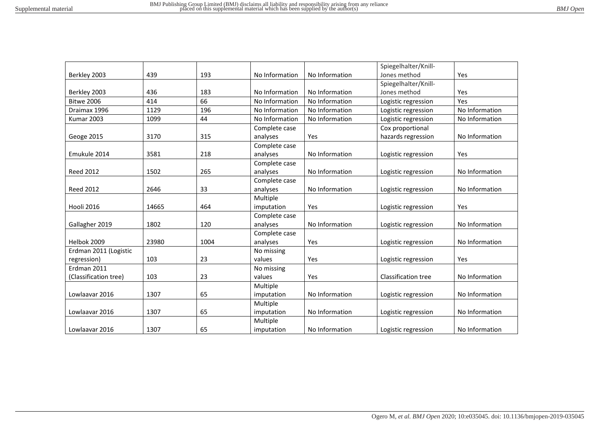| BMJ Open |  |
|----------|--|
|----------|--|

|                       |       |      |                |                | Spiegelhalter/Knill-       |                |
|-----------------------|-------|------|----------------|----------------|----------------------------|----------------|
| Berkley 2003          | 439   | 193  | No Information | No Information | Jones method               | Yes            |
|                       |       |      |                |                | Spiegelhalter/Knill-       |                |
| Berkley 2003          | 436   | 183  | No Information | No Information | Jones method               | Yes            |
| <b>Bitwe 2006</b>     | 414   | 66   | No Information | No Information | Logistic regression        | Yes            |
| Draimax 1996          | 1129  | 196  | No Information | No Information | Logistic regression        | No Information |
| <b>Kumar 2003</b>     | 1099  | 44   | No Information | No Information | Logistic regression        | No Information |
|                       |       |      | Complete case  |                | Cox proportional           |                |
| Geoge 2015            | 3170  | 315  | analyses       | Yes            | hazards regression         | No Information |
|                       |       |      | Complete case  |                |                            |                |
| Emukule 2014          | 3581  | 218  | analyses       | No Information | Logistic regression        | Yes            |
|                       |       |      | Complete case  |                |                            |                |
| <b>Reed 2012</b>      | 1502  | 265  | analyses       | No Information | Logistic regression        | No Information |
|                       |       |      | Complete case  |                |                            |                |
| <b>Reed 2012</b>      | 2646  | 33   | analyses       | No Information | Logistic regression        | No Information |
|                       |       |      | Multiple       |                |                            |                |
| <b>Hooli 2016</b>     | 14665 | 464  | imputation     | Yes            | Logistic regression        | Yes            |
|                       |       |      | Complete case  |                |                            |                |
| Gallagher 2019        | 1802  | 120  | analyses       | No Information | Logistic regression        | No Information |
|                       |       |      | Complete case  |                |                            |                |
| Helbok 2009           | 23980 | 1004 | analyses       | Yes            | Logistic regression        | No Information |
| Erdman 2011 (Logistic |       |      | No missing     |                |                            |                |
| regression)           | 103   | 23   | values         | Yes            | Logistic regression        | Yes            |
| Erdman 2011           |       |      | No missing     |                |                            |                |
| (Classification tree) | 103   | 23   | values         | Yes            | <b>Classification tree</b> | No Information |
|                       |       |      | Multiple       |                |                            |                |
| Lowlaavar 2016        | 1307  | 65   | imputation     | No Information | Logistic regression        | No Information |
|                       |       |      | Multiple       |                |                            |                |
| Lowlaavar 2016        | 1307  | 65   | imputation     | No Information | Logistic regression        | No Information |
|                       |       |      | Multiple       |                |                            |                |
| Lowlaavar 2016        | 1307  | 65   | imputation     | No Information | Logistic regression        | No Information |
|                       |       |      |                |                |                            |                |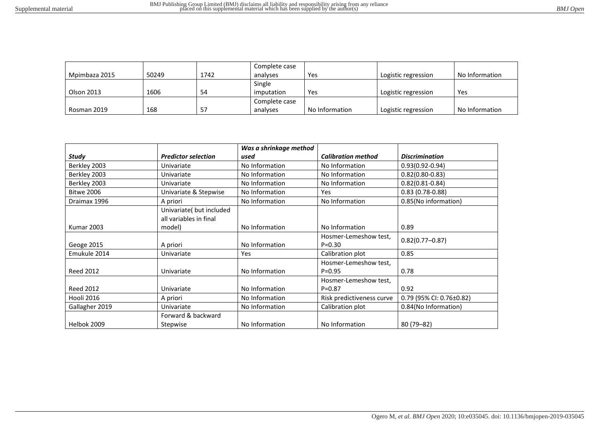|               |       |      | Complete case |                |                     |                |
|---------------|-------|------|---------------|----------------|---------------------|----------------|
| Mpimbaza 2015 | 50249 | 1742 | analyses      | Yes            | Logistic regression | No Information |
|               |       |      | Single        |                |                     |                |
| Olson 2013    | 1606  | 54   | imputation    | Yes            | Logistic regression | Yes            |
|               |       |      | Complete case |                |                     |                |
| Rosman 2019   | 168   | 57   | analyses      | No Information | Logistic regression | No Information |

|                   |                            | Was a shrinkage method |                           |                          |
|-------------------|----------------------------|------------------------|---------------------------|--------------------------|
| Study             | <b>Predictor selection</b> | used                   | <b>Calibration method</b> | <b>Discrimination</b>    |
| Berkley 2003      | Univariate                 | No Information         | No Information            | $0.93(0.92 - 0.94)$      |
| Berkley 2003      | Univariate                 | No Information         | No Information            | $0.82(0.80 - 0.83)$      |
| Berkley 2003      | Univariate                 | No Information         | No Information            | $0.82(0.81 - 0.84)$      |
| <b>Bitwe 2006</b> | Univariate & Stepwise      | No Information         | Yes                       | $0.83(0.78-0.88)$        |
| Draimax 1996      | A priori                   | No Information         | No Information            | 0.85(No information)     |
|                   | Univariate( but included   |                        |                           |                          |
|                   | all variables in final     |                        |                           |                          |
| <b>Kumar 2003</b> | model)                     | No Information         | No Information            | 0.89                     |
|                   |                            |                        | Hosmer-Lemeshow test,     | $0.82(0.77 - 0.87)$      |
| Geoge 2015        | A priori                   | No Information         | $P = 0.30$                |                          |
| Emukule 2014      | Univariate                 | <b>Yes</b>             | Calibration plot          | 0.85                     |
|                   |                            |                        | Hosmer-Lemeshow test,     |                          |
| <b>Reed 2012</b>  | Univariate                 | No Information         | $P = 0.95$                | 0.78                     |
|                   |                            |                        | Hosmer-Lemeshow test,     |                          |
| <b>Reed 2012</b>  | Univariate                 | No Information         | $P = 0.87$                | 0.92                     |
| <b>Hooli 2016</b> | A priori                   | No Information         | Risk predictiveness curve | 0.79 (95% CI: 0.76±0.82) |
| Gallagher 2019    | Univariate                 | No Information         | Calibration plot          | 0.84(No Information)     |
|                   | Forward & backward         |                        |                           |                          |
| Helbok 2009       | Stepwise                   | No Information         | No Information            | $80(79 - 82)$            |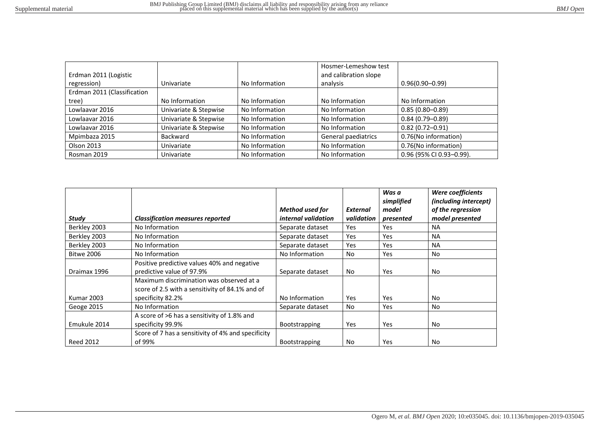|                             |                       |                | Hosmer-Lemeshow test  |                          |
|-----------------------------|-----------------------|----------------|-----------------------|--------------------------|
| Erdman 2011 (Logistic       |                       |                | and calibration slope |                          |
| regression)                 | Univariate            | No Information | analysis              | $0.96(0.90 - 0.99)$      |
| Erdman 2011 (Classification |                       |                |                       |                          |
| tree)                       | No Information        | No Information | No Information        | No Information           |
| Lowlaavar 2016              | Univariate & Stepwise | No Information | No Information        | $0.85(0.80 - 0.89)$      |
| Lowlaavar 2016              | Univariate & Stepwise | No Information | No Information        | $0.84(0.79 - 0.89)$      |
| Lowlaavar 2016              | Univariate & Stepwise | No Information | No Information        | $0.82(0.72 - 0.91)$      |
| Mpimbaza 2015               | <b>Backward</b>       | No Information | General paediatrics   | 0.76(No information)     |
| Olson 2013                  | Univariate            | No Information | No Information        | 0.76(No information)     |
| Rosman 2019                 | Univariate            | No Information | No Information        | 0.96 (95% CI 0.93-0.99). |

| Study             | <b>Classification measures reported</b>                                                                          | <b>Method used for</b><br>internal validation | External<br>validation | Was a<br>simplified<br>model<br>presented | Were coefficients<br>(including intercept)<br>of the regression<br>model presented |
|-------------------|------------------------------------------------------------------------------------------------------------------|-----------------------------------------------|------------------------|-------------------------------------------|------------------------------------------------------------------------------------|
| Berkley 2003      | No Information                                                                                                   | Separate dataset                              | Yes                    | Yes                                       | <b>NA</b>                                                                          |
| Berkley 2003      | No Information                                                                                                   | Separate dataset                              | <b>Yes</b>             | Yes                                       | <b>NA</b>                                                                          |
| Berkley 2003      | No Information                                                                                                   | Separate dataset                              | <b>Yes</b>             | Yes                                       | <b>NA</b>                                                                          |
| <b>Bitwe 2006</b> | No Information                                                                                                   | No Information                                | No.                    | Yes                                       | No.                                                                                |
| Draimax 1996      | Positive predictive values 40% and negative<br>predictive value of 97.9%                                         | Separate dataset                              | No.                    | Yes                                       | No.                                                                                |
| <b>Kumar 2003</b> | Maximum discrimination was observed at a<br>score of 2.5 with a sensitivity of 84.1% and of<br>specificity 82.2% | No Information                                | <b>Yes</b>             | Yes                                       | No.                                                                                |
| Geoge 2015        | No Information                                                                                                   | Separate dataset                              | No.                    | Yes                                       | No                                                                                 |
| Emukule 2014      | A score of >6 has a sensitivity of 1.8% and<br>specificity 99.9%                                                 | <b>Bootstrapping</b>                          | Yes                    | Yes                                       | No.                                                                                |
| <b>Reed 2012</b>  | Score of 7 has a sensitivity of 4% and specificity<br>of 99%                                                     | <b>Bootstrapping</b>                          | No.                    | Yes                                       | No.                                                                                |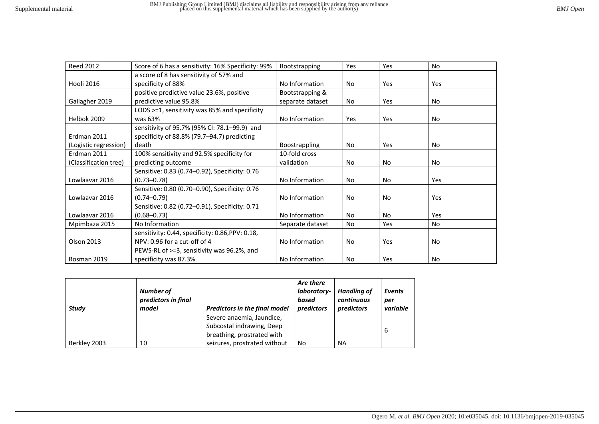| BM.I | Onen |
|------|------|
|------|------|

| <b>Reed 2012</b>      | Score of 6 has a sensitivity: 16% Specificity: 99% | Bootstrapping    | <b>Yes</b> | Yes | <b>No</b>  |
|-----------------------|----------------------------------------------------|------------------|------------|-----|------------|
|                       | a score of 8 has sensitivity of 57% and            |                  |            |     |            |
| <b>Hooli 2016</b>     | specificity of 88%                                 | No Information   | No         | Yes | Yes        |
|                       | positive predictive value 23.6%, positive          | Bootstrapping &  |            |     |            |
| Gallagher 2019        | predictive value 95.8%                             | separate dataset | No         | Yes | No.        |
|                       | LODS >=1, sensitivity was 85% and specificity      |                  |            |     |            |
| Helbok 2009           | was 63%                                            | No Information   | <b>Yes</b> | Yes | No.        |
|                       | sensitivity of 95.7% (95% CI: 78.1-99.9) and       |                  |            |     |            |
| Erdman 2011           | specificity of 88.8% (79.7–94.7) predicting        |                  |            |     |            |
| (Logistic regression) | death                                              | Boostrappling    | No         | Yes | No.        |
| Erdman 2011           | 100% sensitivity and 92.5% specificity for         | 10-fold cross    |            |     |            |
| (Classification tree) | predicting outcome                                 | validation       | No         | No. | No.        |
|                       | Sensitive: 0.83 (0.74–0.92), Specificity: 0.76     |                  |            |     |            |
| Lowlaavar 2016        | $(0.73 - 0.78)$                                    | No Information   | <b>No</b>  | No. | <b>Yes</b> |
|                       | Sensitive: 0.80 (0.70-0.90), Specificity: 0.76     |                  |            |     |            |
| Lowlaavar 2016        | $(0.74 - 0.79)$                                    | No Information   | No         | No. | Yes        |
|                       | Sensitive: 0.82 (0.72-0.91), Specificity: 0.71     |                  |            |     |            |
| Lowlaavar 2016        | $(0.68 - 0.73)$                                    | No Information   | <b>No</b>  | No. | Yes        |
| Mpimbaza 2015         | No Information                                     | Separate dataset | No         | Yes | No.        |
|                       | sensitivity: 0.44, specificity: 0.86, PPV: 0.18,   |                  |            |     |            |
| <b>Olson 2013</b>     | NPV: 0.96 for a cut-off of 4                       | No Information   | <b>No</b>  | Yes | No.        |
|                       | PEWS-RL of >=3, sensitivity was 96.2%, and         |                  |            |     |            |
| Rosman 2019           | specificity was 87.3%                              | No Information   | No         | Yes | No         |

|              | Number of<br>predictors in final |                                      | Are there<br>laboratory-<br>based | <b>Handling of</b><br>continuous | Events<br>per<br>variable |
|--------------|----------------------------------|--------------------------------------|-----------------------------------|----------------------------------|---------------------------|
| Study        | model                            | <b>Predictors in the final model</b> | predictors                        | predictors                       |                           |
|              |                                  | Severe anaemia, Jaundice,            |                                   |                                  |                           |
|              |                                  | Subcostal indrawing, Deep            |                                   |                                  |                           |
|              |                                  | breathing, prostrated with           |                                   |                                  | 6                         |
| Berkley 2003 | 10                               | seizures, prostrated without         | No                                | <b>NA</b>                        |                           |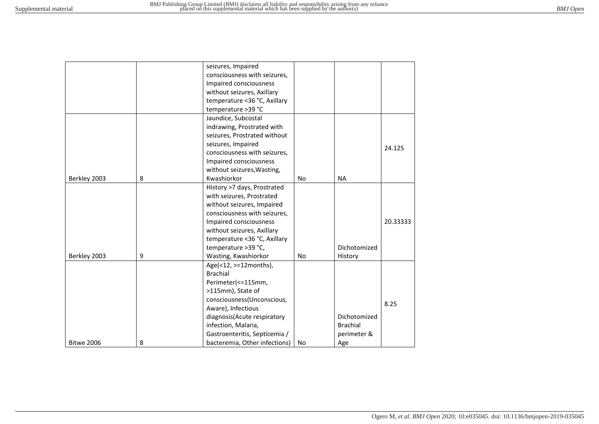|  | <b>BMJ</b> Open |
|--|-----------------|
|--|-----------------|

|                   |   | seizures, Impaired            |           |                 |          |
|-------------------|---|-------------------------------|-----------|-----------------|----------|
|                   |   | consciousness with seizures,  |           |                 |          |
|                   |   | Impaired consciousness        |           |                 |          |
|                   |   | without seizures, Axillary    |           |                 |          |
|                   |   | temperature <36 °C, Axillary  |           |                 |          |
|                   |   | temperature > 39 °C           |           |                 |          |
|                   |   | Jaundice, Subcostal           |           |                 |          |
|                   |   | indrawing, Prostrated with    |           |                 |          |
|                   |   | seizures, Prostrated without  |           |                 |          |
|                   |   | seizures, Impaired            |           |                 |          |
|                   |   | consciousness with seizures,  |           |                 | 24.125   |
|                   |   | Impaired consciousness        |           |                 |          |
|                   |   | without seizures, Wasting,    |           |                 |          |
| Berkley 2003      | 8 | Kwashiorkor                   | <b>No</b> | <b>NA</b>       |          |
|                   |   | History >7 days, Prostrated   |           |                 |          |
|                   |   | with seizures, Prostrated     |           |                 |          |
|                   |   | without seizures, Impaired    |           |                 |          |
|                   |   |                               |           |                 |          |
|                   |   | consciousness with seizures,  |           |                 |          |
|                   |   | Impaired consciousness        |           |                 | 20.33333 |
|                   |   | without seizures, Axillary    |           |                 |          |
|                   |   | temperature <36 °C, Axillary  |           |                 |          |
|                   |   | temperature > 39 °C,          |           | Dichotomized    |          |
| Berkley 2003      | 9 | Wasting, Kwashiorkor          | No        | History         |          |
|                   |   | Age(<12, >=12months),         |           |                 |          |
|                   |   | <b>Brachial</b>               |           |                 |          |
|                   |   | Perimeter(<=115mm,            |           |                 |          |
|                   |   | >115mm), State of             |           |                 |          |
|                   |   | consciousness(Unconscious,    |           |                 | 8.25     |
|                   |   | Aware), Infectious            |           |                 |          |
|                   |   | diagnosis(Acute respiratory   |           | Dichotomized    |          |
|                   |   | infection, Malaria,           |           | <b>Brachial</b> |          |
|                   |   | Gastroenteritis, Septicemia / |           | perimeter &     |          |
| <b>Bitwe 2006</b> | 8 | bacteremia, Other infections) | No        | Age             |          |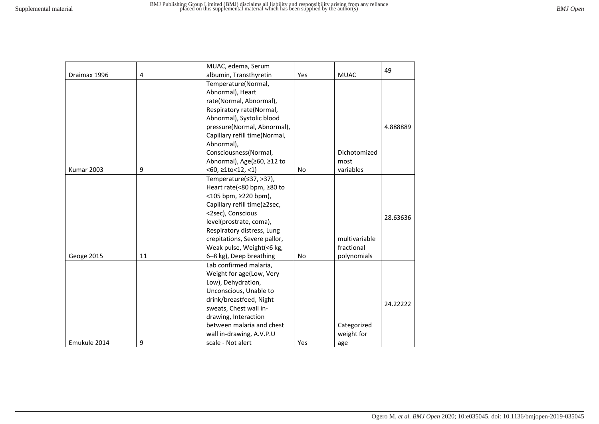|                   |    | MUAC, edema, Serum                |           |               | 49       |
|-------------------|----|-----------------------------------|-----------|---------------|----------|
| Draimax 1996      | 4  | albumin, Transthyretin            | Yes       | <b>MUAC</b>   |          |
|                   |    | Temperature(Normal,               |           |               |          |
|                   |    | Abnormal), Heart                  |           |               |          |
|                   |    | rate(Normal, Abnormal),           |           |               |          |
|                   |    | Respiratory rate(Normal,          |           |               |          |
|                   |    | Abnormal), Systolic blood         |           |               |          |
|                   |    | pressure(Normal, Abnormal),       |           |               | 4.888889 |
|                   |    | Capillary refill time(Normal,     |           |               |          |
|                   |    | Abnormal),                        |           |               |          |
|                   |    | Consciousness(Normal,             |           | Dichotomized  |          |
|                   |    | Abnormal), Age(≥60, ≥12 to        |           | most          |          |
| <b>Kumar 2003</b> | 9  | $<$ 60, $\geq$ 1to $<$ 12, $<$ 1) | <b>No</b> | variables     |          |
|                   |    | Temperature(≤37, >37),            |           |               |          |
|                   |    | Heart rate(<80 bpm, ≥80 to        |           |               |          |
|                   |    | <105 bpm, ≥220 bpm),              |           |               |          |
|                   |    | Capillary refill time(≥2sec,      |           |               |          |
|                   |    | <2sec), Conscious                 |           |               |          |
|                   |    | level(prostrate, coma),           |           |               | 28.63636 |
|                   |    | Respiratory distress, Lung        |           |               |          |
|                   |    | crepitations, Severe pallor,      |           | multivariable |          |
|                   |    | Weak pulse, Weight(<6 kg,         |           | fractional    |          |
| Geoge 2015        | 11 | 6-8 kg), Deep breathing           | No        | polynomials   |          |
|                   |    | Lab confirmed malaria,            |           |               |          |
|                   |    | Weight for age(Low, Very          |           |               |          |
|                   |    | Low), Dehydration,                |           |               |          |
|                   |    | Unconscious, Unable to            |           |               |          |
|                   |    | drink/breastfeed, Night           |           |               |          |
|                   |    | sweats, Chest wall in-            |           |               | 24.22222 |
|                   |    | drawing, Interaction              |           |               |          |
|                   |    | between malaria and chest         |           | Categorized   |          |
|                   |    | wall in-drawing, A.V.P.U          |           | weight for    |          |
| Emukule 2014      | 9  | scale - Not alert                 | Yes       |               |          |
|                   |    |                                   |           | age           |          |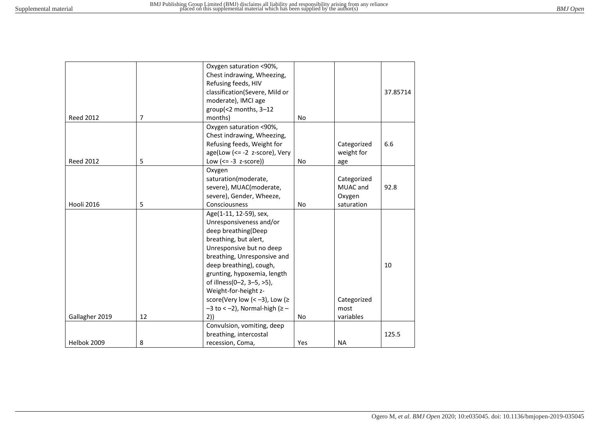| <b>Reed 2012</b> | $\overline{7}$ | Oxygen saturation <90%,<br>Chest indrawing, Wheezing,<br>Refusing feeds, HIV<br>classification(Severe, Mild or<br>moderate), IMCI age<br>group(<2 months, $3-12$<br>months)                                                                                                                                                                                     | <b>No</b> |                                                 | 37.85714 |
|------------------|----------------|-----------------------------------------------------------------------------------------------------------------------------------------------------------------------------------------------------------------------------------------------------------------------------------------------------------------------------------------------------------------|-----------|-------------------------------------------------|----------|
| <b>Reed 2012</b> | 5              | Oxygen saturation <90%,<br>Chest indrawing, Wheezing,<br>Refusing feeds, Weight for<br>age(Low (<= -2 z-score), Very<br>Low $(<= -3$ z-score))                                                                                                                                                                                                                  | No        | Categorized<br>weight for<br>age                | 6.6      |
| Hooli 2016       | 5              | Oxygen<br>saturation(moderate,<br>severe), MUAC(moderate,<br>severe), Gender, Wheeze,<br>Consciousness                                                                                                                                                                                                                                                          | <b>No</b> | Categorized<br>MUAC and<br>Oxygen<br>saturation | 92.8     |
| Gallagher 2019   | 12             | Age(1-11, 12-59), sex,<br>Unresponsiveness and/or<br>deep breathing(Deep<br>breathing, but alert,<br>Unresponsive but no deep<br>breathing, Unresponsive and<br>deep breathing), cough,<br>grunting, hypoxemia, length<br>of illness(0-2, 3-5, >5),<br>Weight-for-height z-<br>score(Very low (< -3), Low ( $\ge$<br>$-3$ to < -2), Normal-high ( $\ge$ -<br>2) | No        | Categorized<br>most<br>variables                | 10       |
| Helbok 2009      | 8              | Convulsion, vomiting, deep<br>breathing, intercostal<br>recession, Coma,                                                                                                                                                                                                                                                                                        | Yes       | <b>NA</b>                                       | 125.5    |